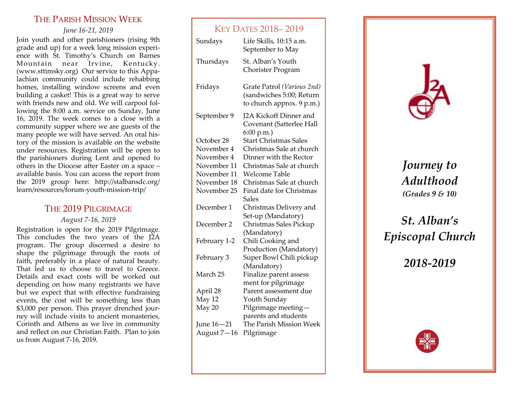# THE PARISH MISSION WEEK

*June 16-21, 2019*

Join youth and other parishioners (rising 9th grade and up) for a week long mission experience with St. Timothy's Church on Barnes Mountain near Irvine, Kentucky. (www.sttimsky.org) Our service to this Appalachian community could include rehabbing homes, installing window screens and even building a casket! This is a great way to serve with friends new and old. We will carpool following the 8:00 a.m. service on Sunday, June 16, 2019. The week comes to a close with a community supper where we are guests of the many people we will have served. An oral history of the mission is available on the website under resources. Registration will be open to the parishioners during Lent and opened to others in the Diocese after Easter on a space – available basis. You can access the report from the 2019 group here: http://stalbansdc.org/ learn/resources/forum-youth-mission-trip/

## THE 2019 PILGRIMAGE

## *August 7-16, 2019*

Registration is open for the 2019 Pilgrimage. This concludes the two years of the J2A program. The group discerned a desire to shape the pilgrimage through the roots of faith, preferably in a place of natural beauty. That led us to choose to travel to Greece. Details and exact costs will be worked out depending on how many registrants we have but we expect that with effective fundraising events, the cost will be something less than \$3,000 per person. This prayer drenched journey will include visits to ancient monasteries, Corinth and Athens as we live in community and reflect on our Christian Faith. Plan to join us from August 7-16, 2019.

# KEY DATES 2018– 2019

| Sundays      | Life Skills, 10:15 a.m.<br>September to May                                         |
|--------------|-------------------------------------------------------------------------------------|
| Thursdays    | St. Alban's Youth<br>Chorister Program                                              |
| Fridays      | Grate Patrol (Various 2nd)<br>(sandwiches 5:00; Return<br>to church approx. 9 p.m.) |
| September 9  | J2A Kickoff Dinner and<br>Covenant (Satterlee Hall<br>6:00 p.m.                     |
| October 28   | <b>Start Christmas Sales</b>                                                        |
| November 4   | Christmas Sale at church                                                            |
| November 4   | Dinner with the Rector                                                              |
| November 11  | Christmas Sale at church                                                            |
| November 11  | <b>Welcome Table</b>                                                                |
| November 18  | Christmas Sale at church                                                            |
| November 25  | Final date for Christmas<br>Sales                                                   |
| December 1   | Christmas Delivery and<br>Set-up (Mandatory)                                        |
| December 2   | Christmas Sales Pickup<br>(Mandatory)                                               |
| February 1-2 | Chili Cooking and<br>Production (Mandatory)                                         |
| February 3   | Super Bowl Chili pickup<br>(Mandatory)                                              |
| March 25     | Finalize parent assess                                                              |
|              | ment for pilgrimage                                                                 |
| April 28     | Parent assessment due                                                               |
| May 12       | Youth Sunday                                                                        |
| May 20       | Pilgrimage meeting-                                                                 |
|              | parents and students                                                                |
| June 16-21   | The Parish Mission Week                                                             |
| August 7-16  | Pilgrimage                                                                          |



*Journey to Adulthood (Grades 9 & 10)*

# *St. Alban's Episcopal Church*

*2018-2019*